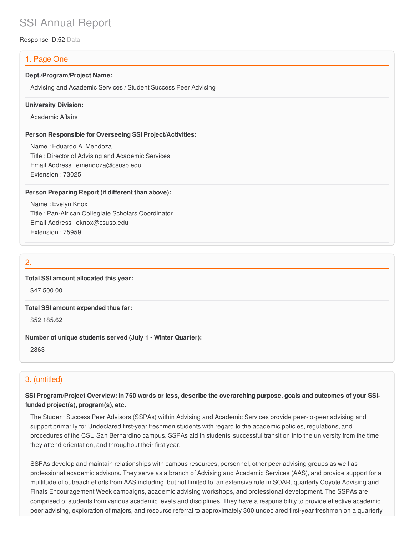# SSI Annual Report

Response ID:52 Data

# 1. Page One

#### **Dept./Program/Project Name:**

Advising and Academic Services / Student Success Peer Advising

#### **University Division:**

Academic Affairs

#### **Person Responsible for Overseeing SSI Project/Activities:**

Name : Eduardo A. Mendoza Title : Director of Advising and Academic Services Email Address : emendoza@csusb.edu Extension : 73025

#### **Person Preparing Report (if different than above):**

Name : Evelyn Knox Title : Pan-African Collegiate Scholars Coordinator Email Address : eknox@csusb.edu Extension : 75959

## 2.

#### **Total SSI amount allocated this year:**

\$47,500.00

#### **Total SSI amount expended thus far:**

\$52,185.62

#### **Number of unique students served (July 1 - Winter Quarter):**

2863

# 3. (untitled)

### SSI Program/Project Overview: In 750 words or less, describe the overarching purpose, goals and outcomes of your SSI**funded project(s), program(s), etc.**

The Student Success Peer Advisors (SSPAs) within Advising and Academic Services provide peer-to-peer advising and support primarily for Undeclared first-year freshmen students with regard to the academic policies, regulations, and procedures of the CSU San Bernardino campus. SSPAs aid in students' successful transition into the university from the time they attend orientation, and throughout their first year.

SSPAs develop and maintain relationships with campus resources, personnel, other peer advising groups as well as professional academic advisors. They serve as a branch of Advising and Academic Services (AAS), and provide support for a multitude of outreach efforts from AAS including, but not limited to, an extensive role in SOAR, quarterly Coyote Advising and Finals Encouragement Week campaigns, academic advising workshops, and professional development. The SSPAs are comprised of students from various academic levels and disciplines. They have a responsibility to provide effective academic peer advising, exploration of majors, and resource referral to approximately 300 undeclared first-year freshmen on a quarterly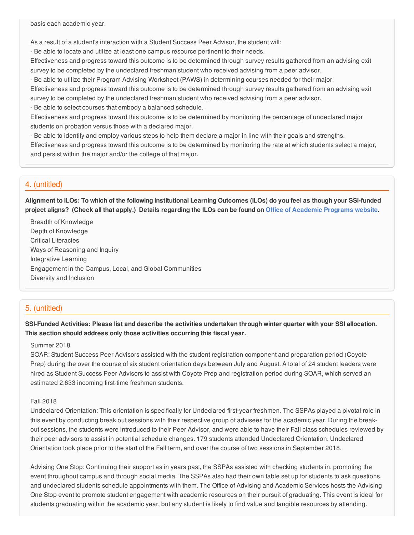basis each academic year.

As a result of a student's interaction with a Student Success Peer Advisor, the student will:

- Be able to locate and utilize at least one campus resource pertinent to their needs.

Effectiveness and progress toward this outcome is to be determined through survey results gathered from an advising exit survey to be completed by the undeclared freshman student who received advising from a peer advisor.

- Be able to utilize their Program Advising Worksheet (PAWS) in determining courses needed for their major.

Effectiveness and progress toward this outcome is to be determined through survey results gathered from an advising exit survey to be completed by the undeclared freshman student who received advising from a peer advisor.

- Be able to select courses that embody a balanced schedule.

Effectiveness and progress toward this outcome is to be determined by monitoring the percentage of undeclared major students on probation versus those with a declared major.

- Be able to identify and employ various steps to help them declare a major in line with their goals and strengths.

Effectiveness and progress toward this outcome is to be determined by monitoring the rate at which students select a major, and persist within the major and/or the college of that major.

### 4. (untitled)

Alignment to ILOs: To which of the following Institutional Learning Outcomes (ILOs) do you feel as though your SSI-funded project aligns? (Check all that apply.) Details regarding the ILOs can be found on Office of [Academic](https://www.csusb.edu/sites/csusb/files/CSUSB_Institutional_Learning_Outcomes-Endorsed.pdf) Programs website.

Breadth of Knowledge Depth of Knowledge Critical Literacies Ways of Reasoning and Inquiry Integrative Learning Engagement in the Campus, Local, and Global Communities Diversity and Inclusion

### 5. (untitled)

SSI-Funded Activities: Please list and describe the activities undertaken through winter quarter with your SSI allocation. **This section should address only those activities occurring this fiscal year.**

#### Summer 2018

SOAR: Student Success Peer Advisors assisted with the student registration component and preparation period (Coyote Prep) during the over the course of six student orientation days between July and August. A total of 24 student leaders were hired as Student Success Peer Advisors to assist with Coyote Prep and registration period during SOAR, which served an estimated 2,633 incoming first-time freshmen students.

#### Fall 2018

Undeclared Orientation: This orientation is specifically for Undeclared first-year freshmen. The SSPAs played a pivotal role in this event by conducting break out sessions with their respective group of advisees for the academic year. During the breakout sessions, the students were introduced to their Peer Advisor, and were able to have their Fall class schedules reviewed by their peer advisors to assist in potential schedule changes. 179 students attended Undeclared Orientation. Undeclared Orientation took place prior to the start of the Fall term, and over the course of two sessions in September 2018.

Advising One Stop: Continuing their support as in years past, the SSPAs assisted with checking students in, promoting the event throughout campus and through social media. The SSPAs also had their own table set up for students to ask questions, and undeclared students schedule appointments with them. The Office of Advising and Academic Services hosts the Advising One Stop event to promote student engagement with academic resources on their pursuit of graduating. This event is ideal for students graduating within the academic year, but any student is likely to find value and tangible resources by attending.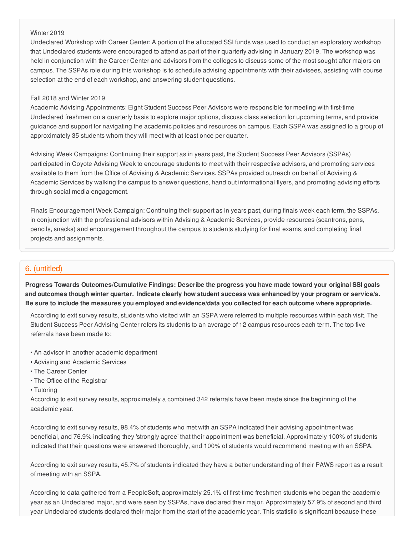#### Winter 2019

Undeclared Workshop with Career Center: A portion of the allocated SSI funds was used to conduct an exploratory workshop that Undeclared students were encouraged to attend as part of their quarterly advising in January 2019. The workshop was held in conjunction with the Career Center and advisors from the colleges to discuss some of the most sought after majors on campus. The SSPAs role during this workshop is to schedule advising appointments with their advisees, assisting with course selection at the end of each workshop, and answering student questions.

#### Fall 2018 and Winter 2019

Academic Advising Appointments: Eight Student Success Peer Advisors were responsible for meeting with first-time Undeclared freshmen on a quarterly basis to explore major options, discuss class selection for upcoming terms, and provide guidance and support for navigating the academic policies and resources on campus. Each SSPA was assigned to a group of approximately 35 students whom they will meet with at least once per quarter.

Advising Week Campaigns: Continuing their support as in years past, the Student Success Peer Advisors (SSPAs) participated in Coyote Advising Week to encourage students to meet with their respective advisors, and promoting services available to them from the Office of Advising & Academic Services. SSPAs provided outreach on behalf of Advising & Academic Services by walking the campus to answer questions, hand out informational flyers, and promoting advising efforts through social media engagement.

Finals Encouragement Week Campaign: Continuing their support as in years past, during finals week each term, the SSPAs, in conjunction with the professional advisors within Advising & Academic Services, provide resources (scantrons, pens, pencils, snacks) and encouragement throughout the campus to students studying for final exams, and completing final projects and assignments.

# 6. (untitled)

**Progress Towards Outcomes/Cumulative Findings: Describe the progress you have made toward your original SSI goals** and outcomes though winter quarter. Indicate clearly how student success was enhanced by your program or service/s. Be sure to include the measures you employed and evidence/data you collected for each outcome where appropriate.

According to exit survey results, students who visited with an SSPA were referred to multiple resources within each visit. The Student Success Peer Advising Center refers its students to an average of 12 campus resources each term. The top five referrals have been made to:

- An advisor in another academic department
- Advising and Academic Services
- The Career Center
- The Office of the Registrar
- Tutoring

According to exit survey results, approximately a combined 342 referrals have been made since the beginning of the academic year.

According to exit survey results, 98.4% of students who met with an SSPA indicated their advising appointment was beneficial, and 76.9% indicating they 'strongly agree' that their appointment was beneficial. Approximately 100% of students indicated that their questions were answered thoroughly, and 100% of students would recommend meeting with an SSPA.

According to exit survey results, 45.7% of students indicated they have a better understanding of their PAWS report as a result of meeting with an SSPA.

According to data gathered from a PeopleSoft, approximately 25.1% of first-time freshmen students who began the academic year as an Undeclared major, and were seen by SSPAs, have declared their major. Approximately 57.9% of second and third year Undeclared students declared their major from the start of the academic year. This statistic is significant because these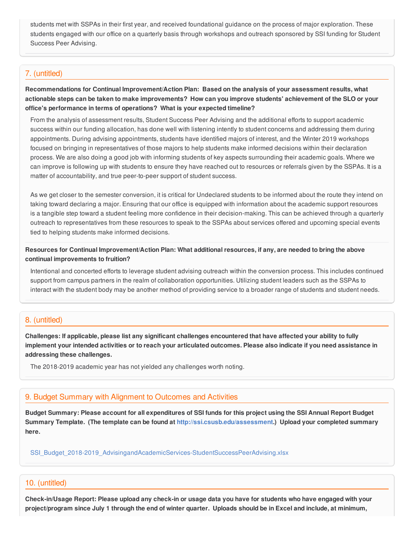students met with SSPAs in their first year, and received foundational guidance on the process of major exploration. These students engaged with our office on a quarterly basis through workshops and outreach sponsored by SSI funding for Student Success Peer Advising.

### 7. (untitled)

**Recommendations for Continual Improvement/Action Plan: Based on the analysis of your assessment results, what** actionable steps can be taken to make improvements? How can you improve students' achievement of the SLO or your **office's performance in terms of operations? What is your expected timeline?**

From the analysis of assessment results, Student Success Peer Advising and the additional efforts to support academic success within our funding allocation, has done well with listening intently to student concerns and addressing them during appointments. During advising appointments, students have identified majors of interest, and the Winter 2019 workshops focused on bringing in representatives of those majors to help students make informed decisions within their declaration process. We are also doing a good job with informing students of key aspects surrounding their academic goals. Where we can improve is following up with students to ensure they have reached out to resources or referrals given by the SSPAs. It is a matter of accountability, and true peer-to-peer support of student success.

As we get closer to the semester conversion, it is critical for Undeclared students to be informed about the route they intend on taking toward declaring a major. Ensuring that our office is equipped with information about the academic support resources is a tangible step toward a student feeling more confidence in their decision-making. This can be achieved through a quarterly outreach to representatives from these resources to speak to the SSPAs about services offered and upcoming special events tied to helping students make informed decisions.

Resources for Continual Improvement/Action Plan: What additional resources, if any, are needed to bring the above **continual improvements to fruition?**

Intentional and concerted efforts to leverage student advising outreach within the conversion process. This includes continued support from campus partners in the realm of collaboration opportunities. Utilizing student leaders such as the SSPAs to interact with the student body may be another method of providing service to a broader range of students and student needs.

### 8. (untitled)

Challenges: If applicable, please list any significant challenges encountered that have affected your ability to fully implement your intended activities or to reach your articulated outcomes. Please also indicate if you need assistance in **addressing these challenges.**

The 2018-2019 academic year has not yielded any challenges worth noting.

#### 9. Budget Summary with Alignment to Outcomes and Activities

Budget Summary: Please account for all expenditures of SSI funds for this project using the SSI Annual Report Budget **Summary Template. (The template can be found at <http://ssi.csusb.edu/assessment>.) Upload your completed summary here.**

[SSI\\_Budget\\_2018-2019\\_AdvisingandAcademicServices-StudentSuccessPeerAdvising.xlsx](https://surveygizmoresponseuploads.s3.amazonaws.com/fileuploads/98679/3939151/161-b27fef9ab87e436afc243b35f37c24df_SSI_Budget_2018-2019_AdvisingandAcademicServices-StudentSuccessPeerAdvising.xlsx)

#### 10. (untitled)

Check-in/Usage Report: Please upload any check-in or usage data you have for students who have engaged with your project/program since July 1 through the end of winter quarter. Uploads should be in Excel and include, at minimum,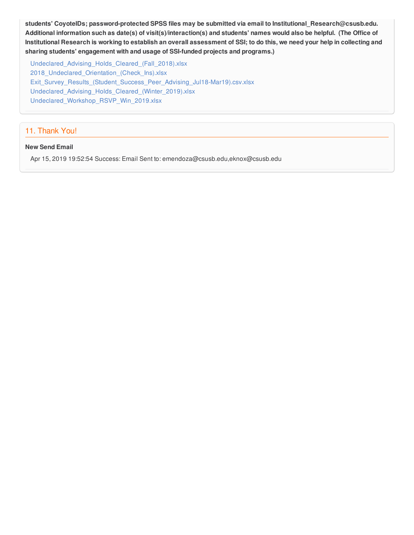**students' CoyoteIDs; password-protected SPSS files may be submitted via email to Institutional\_Research@csusb.edu.** Additional information such as date(s) of visit(s)/interaction(s) and students' names would also be helpful. (The Office of Institutional Research is working to establish an overall assessment of SSI; to do this, we need your help in collecting and **sharing students' engagement with and usage of SSI-funded projects and programs.)**

[Undeclared\\_Advising\\_Holds\\_Cleared\\_\(Fall\\_2018\).xlsx](https://surveygizmoresponseuploads.s3.amazonaws.com/fileuploads/98679/3939151/226-f6899139a9e60c2a483feaa9094a9621_Undeclared_Advising_Holds_Cleared_%28Fall_2018%29.xlsx) [2018\\_Undeclared\\_Orientation\\_\(Check\\_Ins\).xlsx](https://surveygizmoresponseuploads.s3.amazonaws.com/fileuploads/98679/3939151/184-85e34b35662e699dee4afc1ca3a7fba3_2018_Undeclared_Orientation_%28Check_Ins%29.xlsx) [Exit\\_Survey\\_Results\\_\(Student\\_Success\\_Peer\\_Advising\\_Jul18-Mar19\).csv.xlsx](https://surveygizmoresponseuploads.s3.amazonaws.com/fileuploads/98679/3939151/195-9e8850ded3360c9b88ff5789b31e14c8_Exit_Survey_Results_%28Student_Success_Peer_Advising_Jul18-Mar19%29.csv.xlsx) [Undeclared\\_Advising\\_Holds\\_Cleared\\_\(Winter\\_2019\).xlsx](https://surveygizmoresponseuploads.s3.amazonaws.com/fileuploads/98679/3939151/198-da341e987356a1615038a088f78b62a5_Undeclared_Advising_Holds_Cleared_%28Winter_2019%29.xlsx) [Undeclared\\_Workshop\\_RSVP\\_Win\\_2019.xlsx](https://surveygizmoresponseuploads.s3.amazonaws.com/fileuploads/98679/3939151/99-ce151d99ba51524438a292f79b9a7542_Undeclared_Workshop_RSVP_Win_2019.xlsx)

## 11. Thank You!

#### **New Send Email**

Apr 15, 2019 19:52:54 Success: Email Sent to: emendoza@csusb.edu,eknox@csusb.edu